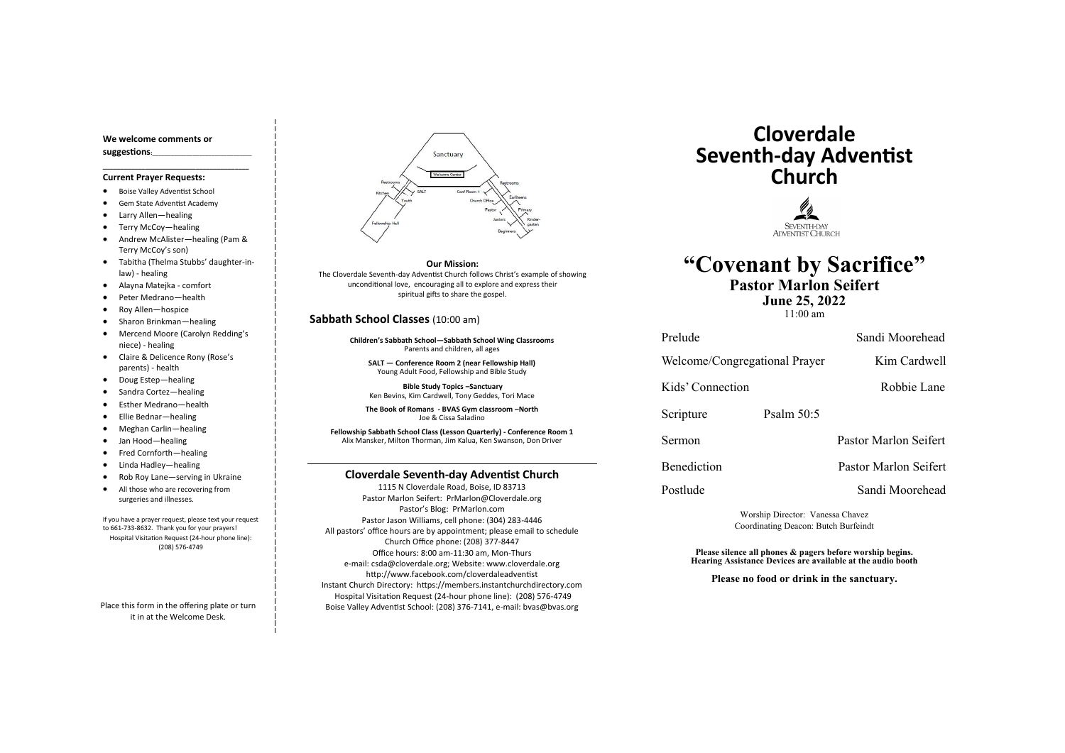#### **Cloverdale Seventh-day Adventist Church**

1115 N Cloverdale Road, Boise, ID 83713 Pastor Marlon Seifert: PrMarlon@Cloverdale.org Pastor's Blog: PrMarlon.com Pastor Jason Williams, cell phone: (304) 283-4446 All pastors' office hours are by appointment; please email to schedule Church Office phone: (208) 377-8447 Office hours: 8:00 am-11:30 am, Mon-Thurs e-mail: csda@cloverdale.org; Website: www.cloverdale.org http://www.facebook.com/cloverdaleadventist Instant Church Directory: https://members.instantchurchdirectory.com Hospital Visitation Request (24-hour phone line): (208) 576-4749 Boise Valley Adventist School: (208) 376-7141, e-mail: bvas@bvas.org

#### **We welcome comments or suggestions:**\_\_\_\_\_\_\_\_\_\_\_\_\_\_\_\_\_\_\_\_\_\_\_\_\_\_\_\_\_\_\_\_

**\_\_\_\_\_\_\_\_\_\_\_\_\_\_\_\_\_\_\_\_\_\_\_\_\_\_\_\_\_\_\_\_\_\_\_\_\_\_\_\_\_**

#### **Current Prayer Requests:**

- Boise Valley Adventist School
- Gem State Adventist Academy
- Larry Allen—healing
- Terry McCoy—healing
- Andrew McAlister—healing (Pam & Terry McCoy's son)

- Tabitha (Thelma Stubbs' daughter-inlaw) - healing
- Alayna Matejka comfort
- Peter Medrano—health
- Roy Allen—hospice
- Sharon Brinkman—healing
- Mercend Moore (Carolyn Redding's niece) - healing
- Claire & Delicence Rony (Rose's parents) - health
- Doug Estep—healing
- Sandra Cortez—healing
- Esther Medrano—health
- Ellie Bednar—healing
- Meghan Carlin—healing
- Jan Hood—healing
- Fred Cornforth—healing
- Linda Hadley—healing
- Rob Roy Lane—serving in Ukraine
- All those who are recovering from surgeries and illnesses.

If you have a prayer request, please text your request to 661-733-8632. Thank you for your prayers! Hospital Visitation Request (24-hour phone line): (208) 576-4749

Place this form in the offering plate or turn it in at the Welcome Desk.



#### **Sabbath School Classes** (10:00 am)

**Children's Sabbath School—Sabbath School Wing Classrooms** Parents and children, all ages

**SALT — Conference Room 2 (near Fellowship Hall)** Young Adult Food, Fellowship and Bible Study

**Bible Study Topics –Sanctuary** Ken Bevins, Kim Cardwell, Tony Geddes, Tori Mace

**The Book of Romans - BVAS Gym classroom –North** Joe & Cissa Saladino

**Fellowship Sabbath School Class (Lesson Quarterly) - Conference Room 1** Alix Mansker, Milton Thorman, Jim Kalua, Ken Swanson, Don Driver

# **Cloverdale Seventh-day Adventist Church**



# **"Covenant by Sacrifice" Pastor Marlon Seifert**

**June 25, 2022**

Welcome/Congregational Prayer Kim Cardwell

Kids' Connection Robbie Lane

Scripture Psalm 50:5

11:00 am

Prelude Sandi Moorehead

Sermon Pastor Marlon Seifert

Benediction Pastor Marlon Seifert

Postlude Sandi Moorehead

Worship Director: Vanessa Chavez Coordinating Deacon: Butch Burfeindt

**Please silence all phones & pagers before worship begins. Hearing Assistance Devices are available at the audio booth**

**Please no food or drink in the sanctuary.**

**Our Mission:**

The Cloverdale Seventh-day Adventist Church follows Christ's example of showing unconditional love, encouraging all to explore and express their spiritual gifts to share the gospel.